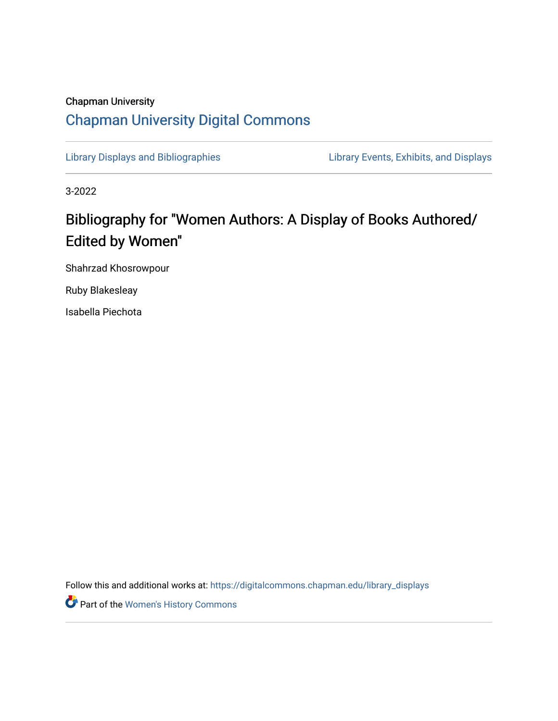## Chapman University [Chapman University Digital Commons](https://digitalcommons.chapman.edu/)

[Library Displays and Bibliographies](https://digitalcommons.chapman.edu/library_displays) Library Events, Exhibits, and Displays

3-2022

## Bibliography for "Women Authors: A Display of Books Authored/ Edited by Women"

Shahrzad Khosrowpour

Ruby Blakesleay

Isabella Piechota

Follow this and additional works at: [https://digitalcommons.chapman.edu/library\\_displays](https://digitalcommons.chapman.edu/library_displays?utm_source=digitalcommons.chapman.edu%2Flibrary_displays%2F21&utm_medium=PDF&utm_campaign=PDFCoverPages)

Part of the [Women's History Commons](http://network.bepress.com/hgg/discipline/507?utm_source=digitalcommons.chapman.edu%2Flibrary_displays%2F21&utm_medium=PDF&utm_campaign=PDFCoverPages)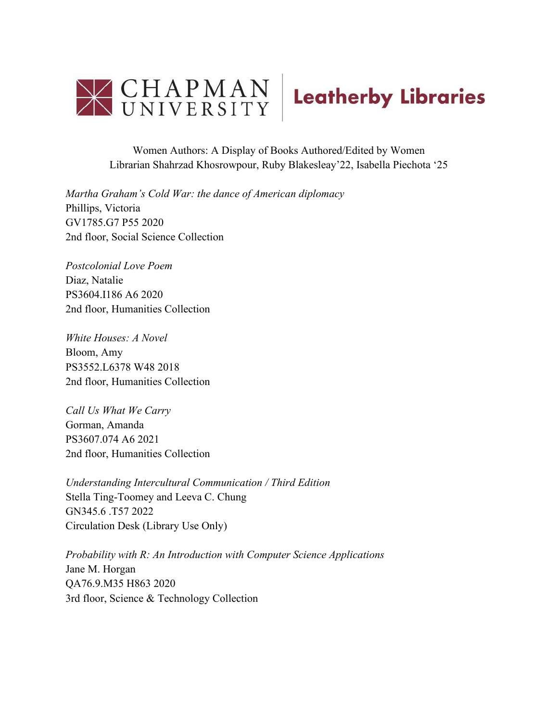

Women Authors: A Display of Books Authored/Edited by Women Librarian Shahrzad Khosrowpour, Ruby Blakesleay'22, Isabella Piechota '25

*Martha Graham's Cold War: the dance of American diplomacy*  Phillips, Victoria GV1785.G7 P55 2020 2nd floor, Social Science Collection

*Postcolonial Love Poem* Diaz, Natalie PS3604.I186 A6 2020 2nd floor, Humanities Collection

*White Houses: A Novel* Bloom, Amy PS3552.L6378 W48 2018 2nd floor, Humanities Collection

*Call Us What We Carry* Gorman, Amanda PS3607.074 A6 2021 2nd floor, Humanities Collection

*Understanding Intercultural Communication / Third Edition* Stella Ting-Toomey and Leeva C. Chung GN345.6 .T57 2022 Circulation Desk (Library Use Only)

*Probability with R: An Introduction with Computer Science Applications* Jane M. Horgan QA76.9.M35 H863 2020 3rd floor, Science & Technology Collection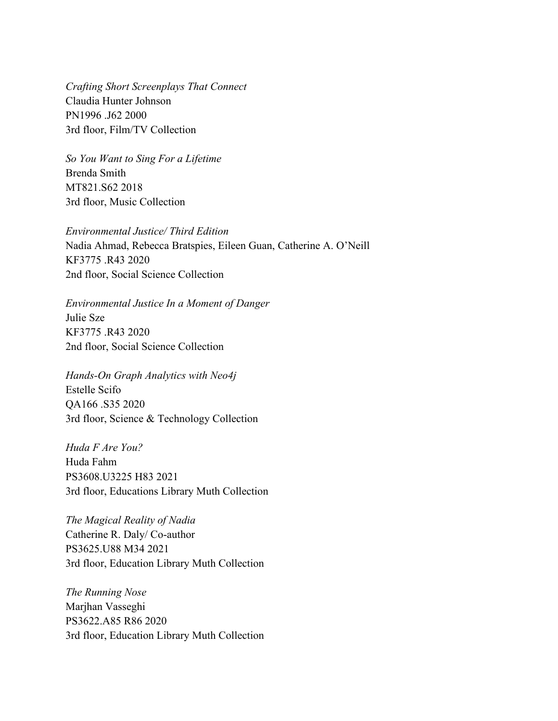*Crafting Short Screenplays That Connect* Claudia Hunter Johnson PN1996 .J62 2000 3rd floor, Film/TV Collection

*So You Want to Sing For a Lifetime* Brenda Smith MT821.S62 2018 3rd floor, Music Collection

*Environmental Justice/ Third Edition* Nadia Ahmad, Rebecca Bratspies, Eileen Guan, Catherine A. O'Neill KF3775 .R43 2020 2nd floor, Social Science Collection

*Environmental Justice In a Moment of Danger* Julie Sze KF3775 .R43 2020 2nd floor, Social Science Collection

*Hands-On Graph Analytics with Neo4j* Estelle Scifo QA166 .S35 2020 3rd floor, Science & Technology Collection

*Huda F Are You?* Huda Fahm PS3608.U3225 H83 2021 3rd floor, Educations Library Muth Collection

*The Magical Reality of Nadia* Catherine R. Daly/ Co-author PS3625.U88 M34 2021 3rd floor, Education Library Muth Collection

*The Running Nose* Marjhan Vasseghi PS3622.A85 R86 2020 3rd floor, Education Library Muth Collection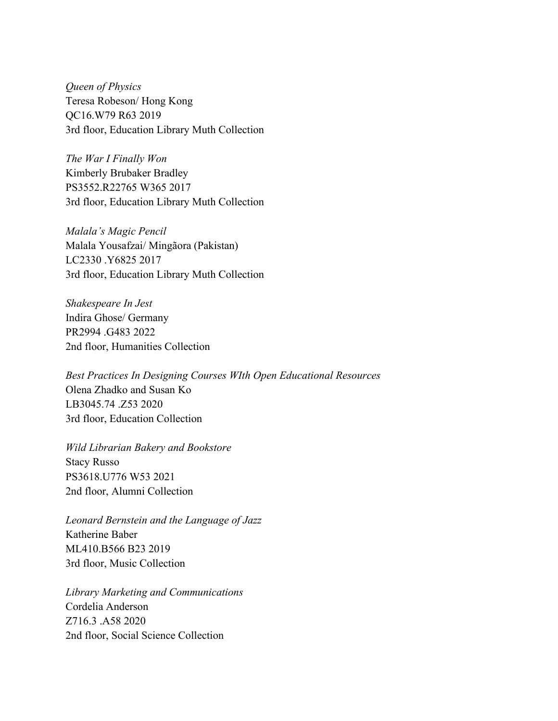*Queen of Physics*  Teresa Robeson/ Hong Kong QC16.W79 R63 2019 3rd floor, Education Library Muth Collection

*The War I Finally Won* Kimberly Brubaker Bradley PS3552.R22765 W365 2017 3rd floor, Education Library Muth Collection

*Malala's Magic Pencil* Malala Yousafzai/ Mingãora (Pakistan) LC2330 .Y6825 2017 3rd floor, Education Library Muth Collection

*Shakespeare In Jest* Indira Ghose/ Germany PR2994 .G483 2022 2nd floor, Humanities Collection

*Best Practices In Designing Courses WIth Open Educational Resources* Olena Zhadko and Susan Ko LB3045.74 .Z53 2020 3rd floor, Education Collection

*Wild Librarian Bakery and Bookstore*  Stacy Russo PS3618.U776 W53 2021 2nd floor, Alumni Collection

*Leonard Bernstein and the Language of Jazz* Katherine Baber ML410.B566 B23 2019 3rd floor, Music Collection

*Library Marketing and Communications* Cordelia Anderson Z716.3 .A58 2020 2nd floor, Social Science Collection